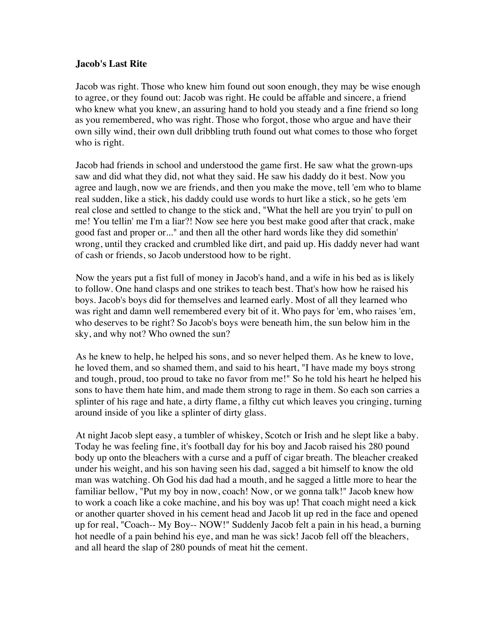## **Jacob's Last Rite**

Jacob was right. Those who knew him found out soon enough, they may be wise enough to agree, or they found out: Jacob was right. He could be affable and sincere, a friend who knew what you knew, an assuring hand to hold you steady and a fine friend so long as you remembered, who was right. Those who forgot, those who argue and have their own silly wind, their own dull dribbling truth found out what comes to those who forget who is right.

Jacob had friends in school and understood the game first. He saw what the grown-ups saw and did what they did, not what they said. He saw his daddy do it best. Now you agree and laugh, now we are friends, and then you make the move, tell 'em who to blame real sudden, like a stick, his daddy could use words to hurt like a stick, so he gets 'em real close and settled to change to the stick and, "What the hell are you tryin' to pull on me! You tellin' me I'm a liar?! Now see here you best make good after that crack, make good fast and proper or..." and then all the other hard words like they did somethin' wrong, until they cracked and crumbled like dirt, and paid up. His daddy never had want of cash or friends, so Jacob understood how to be right.

Now the years put a fist full of money in Jacob's hand, and a wife in his bed as is likely to follow. One hand clasps and one strikes to teach best. That's how how he raised his boys. Jacob's boys did for themselves and learned early. Most of all they learned who was right and damn well remembered every bit of it. Who pays for 'em, who raises 'em, who deserves to be right? So Jacob's boys were beneath him, the sun below him in the sky, and why not? Who owned the sun?

As he knew to help, he helped his sons, and so never helped them. As he knew to love, he loved them, and so shamed them, and said to his heart, "I have made my boys strong and tough, proud, too proud to take no favor from me!" So he told his heart he helped his sons to have them hate him, and made them strong to rage in them. So each son carries a splinter of his rage and hate, a dirty flame, a filthy cut which leaves you cringing, turning around inside of you like a splinter of dirty glass.

At night Jacob slept easy, a tumbler of whiskey, Scotch or Irish and he slept like a baby. Today he was feeling fine, it's football day for his boy and Jacob raised his 280 pound body up onto the bleachers with a curse and a puff of cigar breath. The bleacher creaked under his weight, and his son having seen his dad, sagged a bit himself to know the old man was watching. Oh God his dad had a mouth, and he sagged a little more to hear the familiar bellow, "Put my boy in now, coach! Now, or we gonna talk!" Jacob knew how to work a coach like a coke machine, and his boy was up! That coach might need a kick or another quarter shoved in his cement head and Jacob lit up red in the face and opened up for real, "Coach-- My Boy-- NOW!" Suddenly Jacob felt a pain in his head, a burning hot needle of a pain behind his eye, and man he was sick! Jacob fell off the bleachers, and all heard the slap of 280 pounds of meat hit the cement.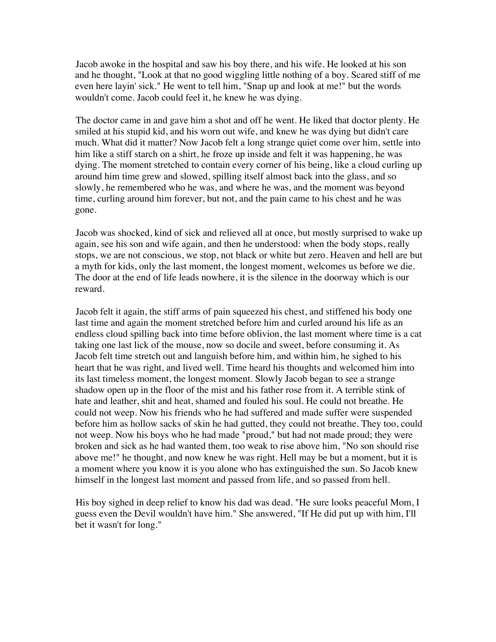Jacob awoke in the hospital and saw his boy there, and his wife. He looked at his son and he thought, "Look at that no good wiggling little nothing of a boy. Scared stiff of me even here layin' sick." He went to tell him, "Snap up and look at me!" but the words wouldn't come. Jacob could feel it, he knew he was dying.

The doctor came in and gave him a shot and off he went. He liked that doctor plenty. He smiled at his stupid kid, and his worn out wife, and knew he was dying but didn't care much. What did it matter? Now Jacob felt a long strange quiet come over him, settle into him like a stiff starch on a shirt, he froze up inside and felt it was happening, he was dying. The moment stretched to contain every corner of his being, like a cloud curling up around him time grew and slowed, spilling itself almost back into the glass, and so slowly, he remembered who he was, and where he was, and the moment was beyond time, curling around him forever, but not, and the pain came to his chest and he was gone.

Jacob was shocked, kind of sick and relieved all at once, but mostly surprised to wake up again, see his son and wife again, and then he understood: when the body stops, really stops, we are not conscious, we stop, not black or white but zero. Heaven and hell are but a myth for kids, only the last moment, the longest moment, welcomes us before we die. The door at the end of life leads nowhere, it is the silence in the doorway which is our reward.

Jacob felt it again, the stiff arms of pain squeezed his chest, and stiffened his body one last time and again the moment stretched before him and curled around his life as an endless cloud spilling back into time before oblivion, the last moment where time is a cat taking one last lick of the mouse, now so docile and sweet, before consuming it. As Jacob felt time stretch out and languish before him, and within him, he sighed to his heart that he was right, and lived well. Time heard his thoughts and welcomed him into its last timeless moment, the longest moment. Slowly Jacob began to see a strange shadow open up in the floor of the mist and his father rose from it. A terrible stink of hate and leather, shit and heat, shamed and fouled his soul. He could not breathe. He could not weep. Now his friends who he had suffered and made suffer were suspended before him as hollow sacks of skin he had gutted, they could not breathe. They too, could not weep. Now his boys who he had made "proud," but had not made proud; they were broken and sick as he had wanted them, too weak to rise above him, "No son should rise above me!" he thought, and now knew he was right. Hell may be but a moment, but it is a moment where you know it is you alone who has extinguished the sun. So Jacob knew himself in the longest last moment and passed from life, and so passed from hell.

His boy sighed in deep relief to know his dad was dead. "He sure looks peaceful Mom, I guess even the Devil wouldn't have him." She answered, "If He did put up with him, I'll bet it wasn't for long."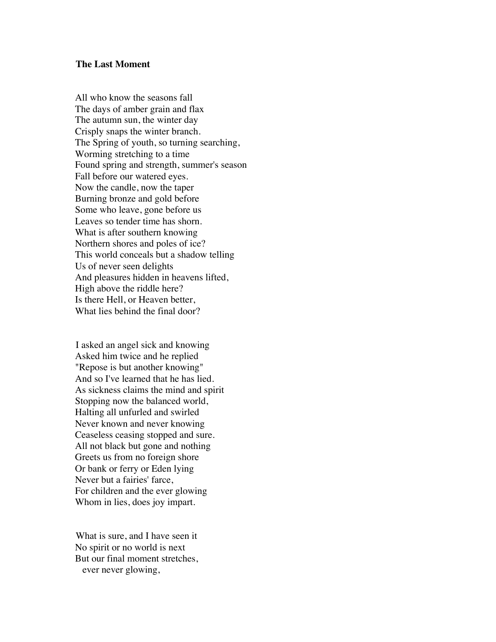## **The Last Moment**

All who know the seasons fall The days of amber grain and flax The autumn sun, the winter day Crisply snaps the winter branch. The Spring of youth, so turning searching, Worming stretching to a time Found spring and strength, summer's season Fall before our watered eyes. Now the candle, now the taper Burning bronze and gold before Some who leave, gone before us Leaves so tender time has shorn. What is after southern knowing Northern shores and poles of ice? This world conceals but a shadow telling Us of never seen delights And pleasures hidden in heavens lifted, High above the riddle here? Is there Hell, or Heaven better, What lies behind the final door?

I asked an angel sick and knowing Asked him twice and he replied "Repose is but another knowing" And so I've learned that he has lied. As sickness claims the mind and spirit Stopping now the balanced world, Halting all unfurled and swirled Never known and never knowing Ceaseless ceasing stopped and sure. All not black but gone and nothing Greets us from no foreign shore Or bank or ferry or Eden lying Never but a fairies' farce, For children and the ever glowing Whom in lies, does joy impart.

What is sure, and I have seen it No spirit or no world is next But our final moment stretches, ever never glowing,